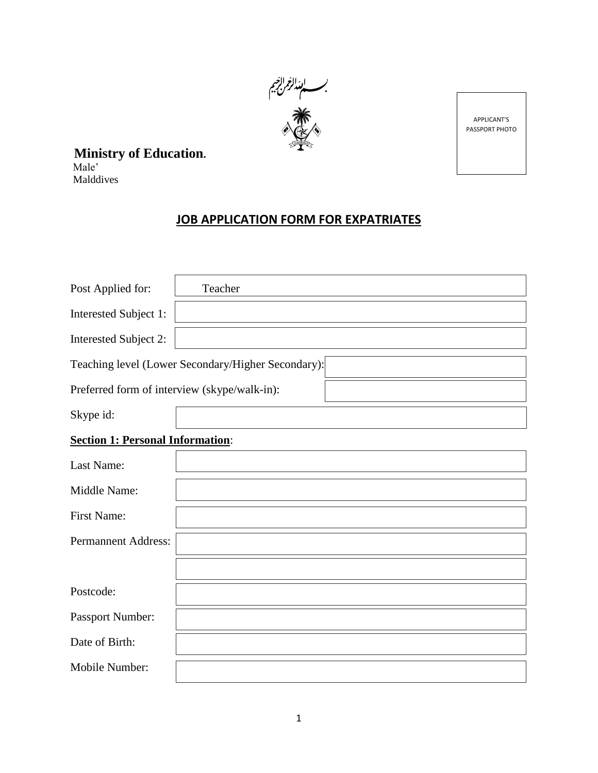

APPLICANT'S PASSPORT PHOTO

**Ministry of Education.**

Male' Malddives

# **JOB APPLICATION FORM FOR EXPATRIATES**

| Post Applied for:                            | Teacher                                            |
|----------------------------------------------|----------------------------------------------------|
| Interested Subject 1:                        |                                                    |
| Interested Subject 2:                        |                                                    |
|                                              | Teaching level (Lower Secondary/Higher Secondary): |
| Preferred form of interview (skype/walk-in): |                                                    |
| Skype id:                                    |                                                    |
| <b>Section 1: Personal Information:</b>      |                                                    |
| Last Name:                                   |                                                    |
| Middle Name:                                 |                                                    |
| <b>First Name:</b>                           |                                                    |
| <b>Permannent Address:</b>                   |                                                    |
|                                              |                                                    |
| Postcode:                                    |                                                    |
| Passport Number:                             |                                                    |
| Date of Birth:                               |                                                    |
| Mobile Number:                               |                                                    |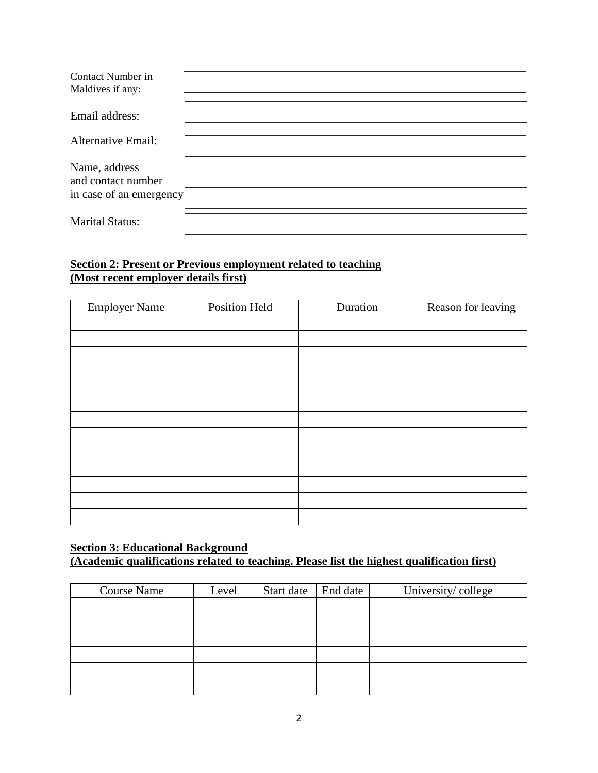| Contact Number in<br>Maldives if any: |  |
|---------------------------------------|--|
| Email address:                        |  |
| <b>Alternative Email:</b>             |  |
| Name, address<br>and contact number   |  |
| in case of an emergency               |  |
| <b>Marital Status:</b>                |  |

# **Section 2: Present or Previous employment related to teaching (Most recent employer details first)**

| <b>Employer Name</b> | Position Held | Duration | Reason for leaving |
|----------------------|---------------|----------|--------------------|
|                      |               |          |                    |
|                      |               |          |                    |
|                      |               |          |                    |
|                      |               |          |                    |
|                      |               |          |                    |
|                      |               |          |                    |
|                      |               |          |                    |
|                      |               |          |                    |
|                      |               |          |                    |
|                      |               |          |                    |
|                      |               |          |                    |
|                      |               |          |                    |
|                      |               |          |                    |

# **Section 3: Educational Background**

**(Academic qualifications related to teaching. Please list the highest qualification first)**

| <b>Course Name</b> | Level | Start date | End date | University/college |
|--------------------|-------|------------|----------|--------------------|
|                    |       |            |          |                    |
|                    |       |            |          |                    |
|                    |       |            |          |                    |
|                    |       |            |          |                    |
|                    |       |            |          |                    |
|                    |       |            |          |                    |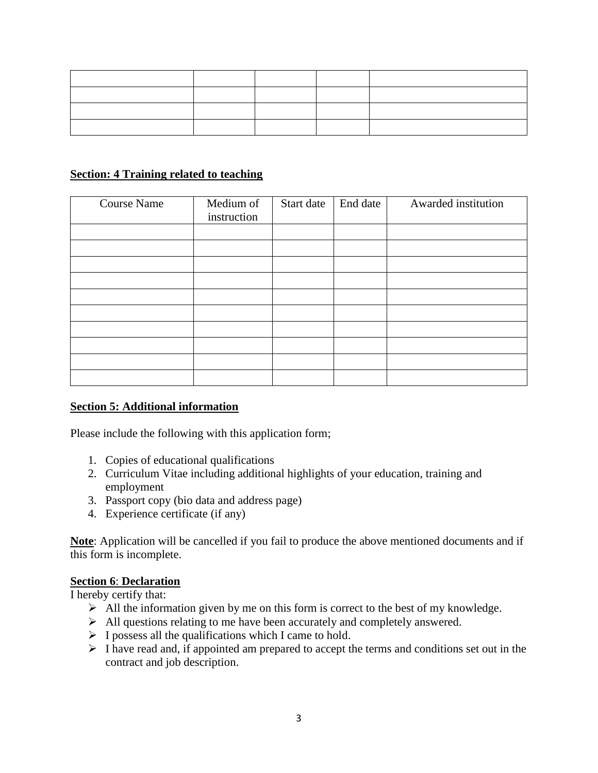# **Section: 4 Training related to teaching**

| <b>Course Name</b> | Medium of<br>instruction | Start date | End date | Awarded institution |
|--------------------|--------------------------|------------|----------|---------------------|
|                    |                          |            |          |                     |
|                    |                          |            |          |                     |
|                    |                          |            |          |                     |
|                    |                          |            |          |                     |
|                    |                          |            |          |                     |
|                    |                          |            |          |                     |
|                    |                          |            |          |                     |
|                    |                          |            |          |                     |
|                    |                          |            |          |                     |
|                    |                          |            |          |                     |

### **Section 5: Additional information**

Please include the following with this application form;

- 1. Copies of educational qualifications
- 2. Curriculum Vitae including additional highlights of your education, training and employment
- 3. Passport copy (bio data and address page)
- 4. Experience certificate (if any)

**Note**: Application will be cancelled if you fail to produce the above mentioned documents and if this form is incomplete.

### **Section 6**: **Declaration**

I hereby certify that:

- $\triangleright$  All the information given by me on this form is correct to the best of my knowledge.
- All questions relating to me have been accurately and completely answered.
- $\triangleright$  I possess all the qualifications which I came to hold.
- $\triangleright$  I have read and, if appointed am prepared to accept the terms and conditions set out in the contract and job description.